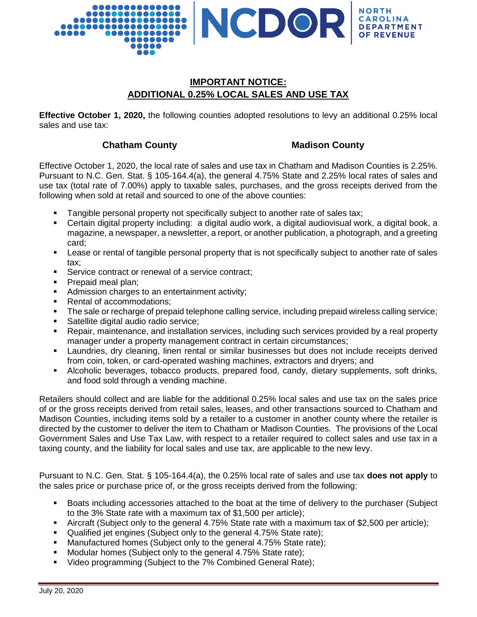

# **IMPORTANT NOTICE: ADDITIONAL 0.25% LOCAL SALES AND USE TAX**

**Effective October 1, 2020,** the following counties adopted resolutions to levy an additional 0.25% local sales and use tax:

## **Chatham County Madison County**

Effective October 1, 2020, the local rate of sales and use tax in Chatham and Madison Counties is 2.25%. Pursuant to N.C. Gen. Stat. § 105-164.4(a), the general 4.75% State and 2.25% local rates of sales and use tax (total rate of 7.00%) apply to taxable sales, purchases, and the gross receipts derived from the following when sold at retail and sourced to one of the above counties:

- Tangible personal property not specifically subject to another rate of sales tax;
- Certain digital property including: a digital audio work, a digital audiovisual work, a digital book, a magazine, a newspaper, a newsletter, a report, or another publication, a photograph, and a greeting card;
- Lease or rental of tangible personal property that is not specifically subject to another rate of sales tax;
- **Service contract or renewal of a service contract;**
- **Prepaid meal plan;**
- Admission charges to an entertainment activity;
- Rental of accommodations;
- The sale or recharge of prepaid telephone calling service, including prepaid wireless calling service;
- Satellite digital audio radio service;
- Repair, maintenance, and installation services, including such services provided by a real property manager under a property management contract in certain circumstances;
- Laundries, dry cleaning, linen rental or similar businesses but does not include receipts derived from coin, token, or card-operated washing machines, extractors and dryers; and
- Alcoholic beverages, tobacco products, prepared food, candy, dietary supplements, soft drinks, and food sold through a vending machine.

Retailers should collect and are liable for the additional 0.25% local sales and use tax on the sales price of or the gross receipts derived from retail sales, leases, and other transactions sourced to Chatham and Madison Counties, including items sold by a retailer to a customer in another county where the retailer is directed by the customer to deliver the item to Chatham or Madison Counties. The provisions of the Local Government Sales and Use Tax Law, with respect to a retailer required to collect sales and use tax in a taxing county, and the liability for local sales and use tax, are applicable to the new levy.

Pursuant to N.C. Gen. Stat. § 105-164.4(a), the 0.25% local rate of sales and use tax **does not apply** to the sales price or purchase price of, or the gross receipts derived from the following:

- Boats including accessories attached to the boat at the time of delivery to the purchaser (Subject to the 3% State rate with a maximum tax of \$1,500 per article);
- Aircraft (Subject only to the general 4.75% State rate with a maximum tax of \$2,500 per article);
- Qualified jet engines (Subject only to the general 4.75% State rate);
- **Manufactured homes (Subject only to the general 4.75% State rate);**
- Modular homes (Subject only to the general 4.75% State rate);
- Video programming (Subject to the 7% Combined General Rate);